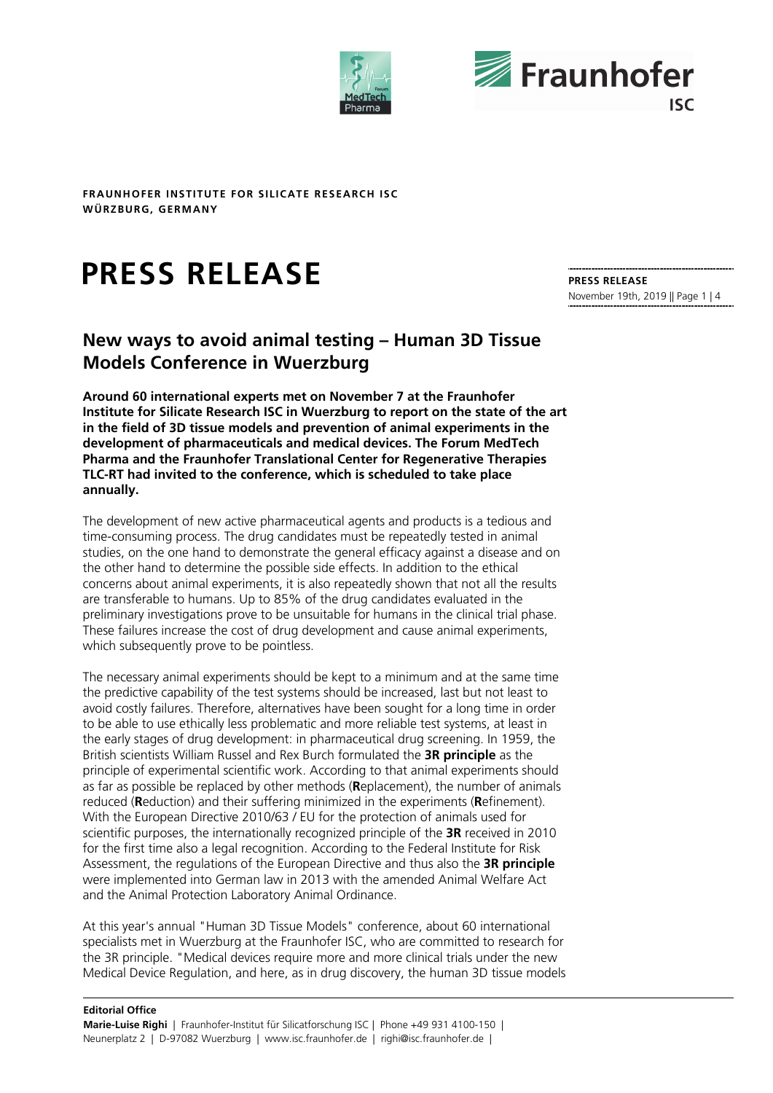



# **PRESS RELEASE**

**PRESS RELEASE**  November 19th, 2019 || Page 1 | 4

# **New ways to avoid animal testing – Human 3D Tissue Models Conference in Wuerzburg**

**Around 60 international experts met on November 7 at the Fraunhofer Institute for Silicate Research ISC in Wuerzburg to report on the state of the art in the field of 3D tissue models and prevention of animal experiments in the development of pharmaceuticals and medical devices. The Forum MedTech Pharma and the Fraunhofer Translational Center for Regenerative Therapies TLC-RT had invited to the conference, which is scheduled to take place annually.** 

The development of new active pharmaceutical agents and products is a tedious and time-consuming process. The drug candidates must be repeatedly tested in animal studies, on the one hand to demonstrate the general efficacy against a disease and on the other hand to determine the possible side effects. In addition to the ethical concerns about animal experiments, it is also repeatedly shown that not all the results are transferable to humans. Up to 85% of the drug candidates evaluated in the preliminary investigations prove to be unsuitable for humans in the clinical trial phase. These failures increase the cost of drug development and cause animal experiments, which subsequently prove to be pointless.

The necessary animal experiments should be kept to a minimum and at the same time the predictive capability of the test systems should be increased, last but not least to avoid costly failures. Therefore, alternatives have been sought for a long time in order to be able to use ethically less problematic and more reliable test systems, at least in the early stages of drug development: in pharmaceutical drug screening. In 1959, the British scientists William Russel and Rex Burch formulated the **3R principle** as the principle of experimental scientific work. According to that animal experiments should as far as possible be replaced by other methods (**R**eplacement), the number of animals reduced (**R**eduction) and their suffering minimized in the experiments (**R**efinement). With the European Directive 2010/63 / EU for the protection of animals used for scientific purposes, the internationally recognized principle of the **3R** received in 2010 for the first time also a legal recognition. According to the Federal Institute for Risk Assessment, the regulations of the European Directive and thus also the **3R principle** were implemented into German law in 2013 with the amended Animal Welfare Act and the Animal Protection Laboratory Animal Ordinance.

At this year's annual "Human 3D Tissue Models" conference, about 60 international specialists met in Wuerzburg at the Fraunhofer ISC, who are committed to research for the 3R principle. "Medical devices require more and more clinical trials under the new Medical Device Regulation, and here, as in drug discovery, the human 3D tissue models

#### **Editorial Office**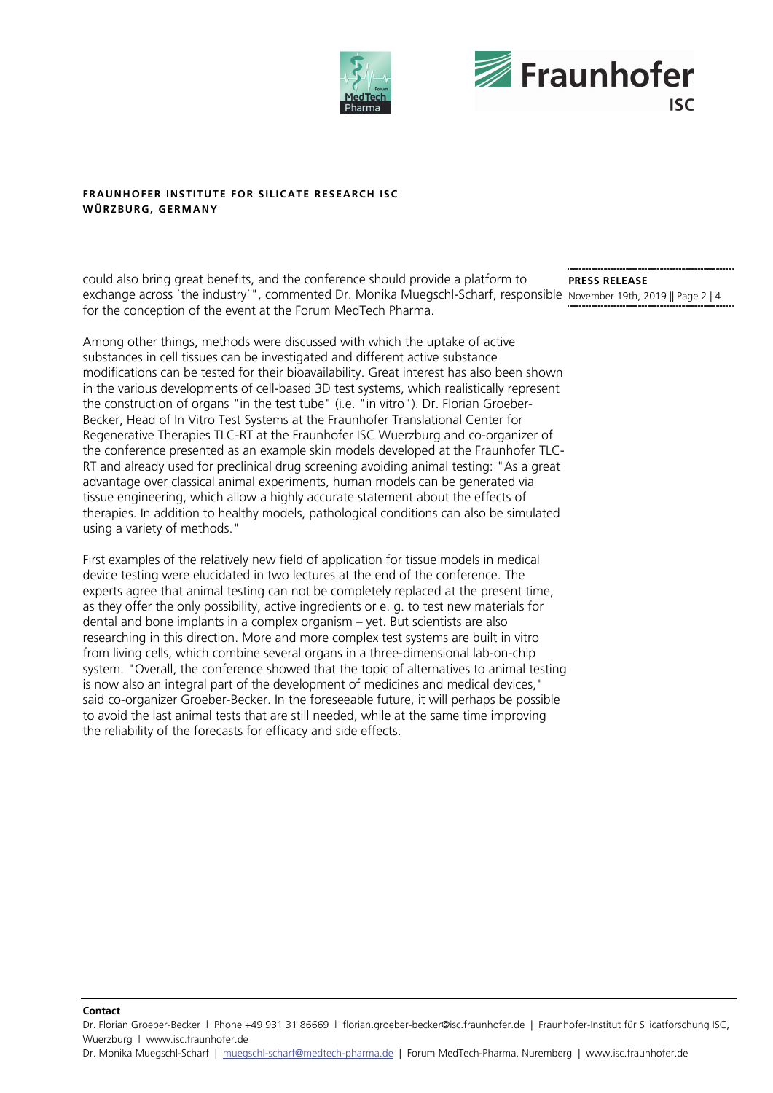



exchange across 'the industry'", commented Dr. Monika Muegschl-Scharf, responsible November 19th, 2019 || Page 2 | 4 could also bring great benefits, and the conference should provide a platform to for the conception of the event at the Forum MedTech Pharma.

Among other things, methods were discussed with which the uptake of active substances in cell tissues can be investigated and different active substance modifications can be tested for their bioavailability. Great interest has also been shown in the various developments of cell-based 3D test systems, which realistically represent the construction of organs "in the test tube" (i.e. "in vitro"). Dr. Florian Groeber-Becker, Head of In Vitro Test Systems at the Fraunhofer Translational Center for Regenerative Therapies TLC-RT at the Fraunhofer ISC Wuerzburg and co-organizer of the conference presented as an example skin models developed at the Fraunhofer TLC-RT and already used for preclinical drug screening avoiding animal testing: "As a great advantage over classical animal experiments, human models can be generated via tissue engineering, which allow a highly accurate statement about the effects of therapies. In addition to healthy models, pathological conditions can also be simulated using a variety of methods."

First examples of the relatively new field of application for tissue models in medical device testing were elucidated in two lectures at the end of the conference. The experts agree that animal testing can not be completely replaced at the present time, as they offer the only possibility, active ingredients or e. g. to test new materials for dental and bone implants in a complex organism – yet. But scientists are also researching in this direction. More and more complex test systems are built in vitro from living cells, which combine several organs in a three-dimensional lab-on-chip system. "Overall, the conference showed that the topic of alternatives to animal testing is now also an integral part of the development of medicines and medical devices," said co-organizer Groeber-Becker. In the foreseeable future, it will perhaps be possible to avoid the last animal tests that are still needed, while at the same time improving the reliability of the forecasts for efficacy and side effects.

**PRESS RELEASE** 

#### **Contact**

Dr. Florian Groeber-Becker l Phone +49 931 31 86669 l florian.groeber-becker@isc.fraunhofer.de | Fraunhofer-Institut für Silicatforschung ISC, Wuerzburg l www.isc.fraunhofer.de

Dr. Monika Muegschl-Scharf | muegschl-scharf@medtech-pharma.de | Forum MedTech-Pharma, Nuremberg | www.isc.fraunhofer.de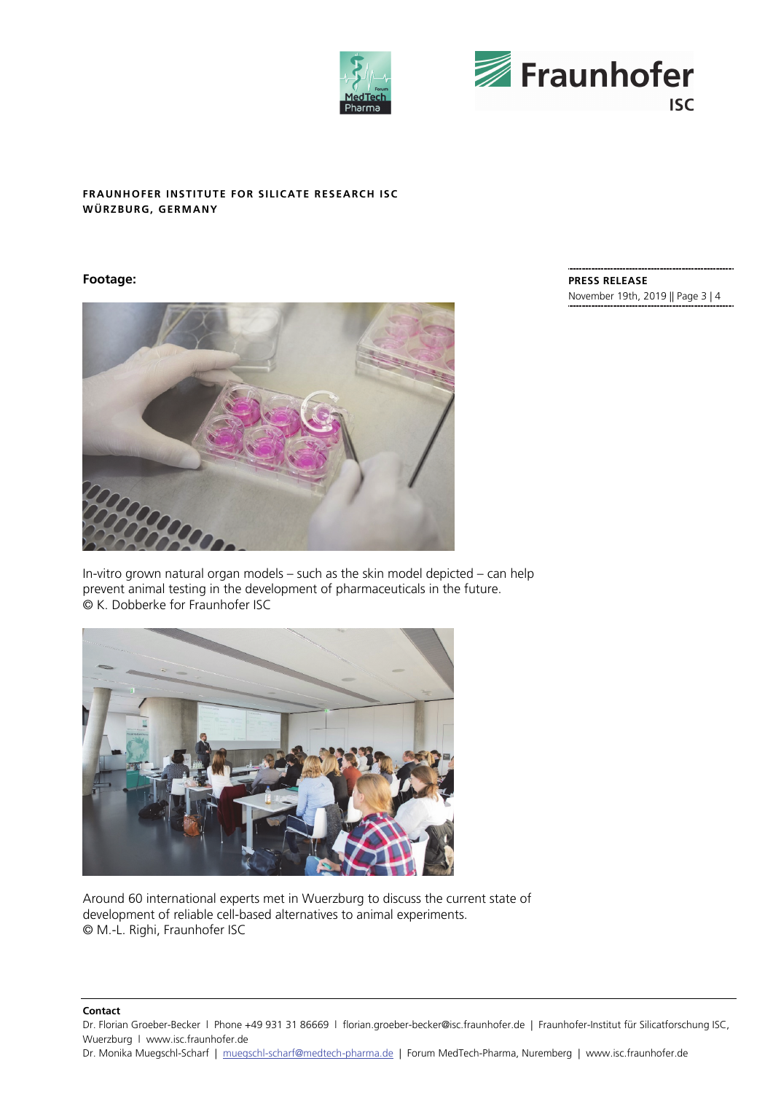



# **Footage:**



In-vitro grown natural organ models – such as the skin model depicted – can help prevent animal testing in the development of pharmaceuticals in the future. © K. Dobberke for Fraunhofer ISC



Around 60 international experts met in Wuerzburg to discuss the current state of development of reliable cell-based alternatives to animal experiments. © M.-L. Righi, Fraunhofer ISC

#### **Contact**

Dr. Florian Groeber-Becker l Phone +49 931 31 86669 l florian.groeber-becker@isc.fraunhofer.de | Fraunhofer-Institut für Silicatforschung ISC, Wuerzburg l www.isc.fraunhofer.de

Dr. Monika Muegschl-Scharf | muegschl-scharf@medtech-pharma.de | Forum MedTech-Pharma, Nuremberg | www.isc.fraunhofer.de

**PRESS RELEASE**  November 19th, 2019 || Page 3 | 4